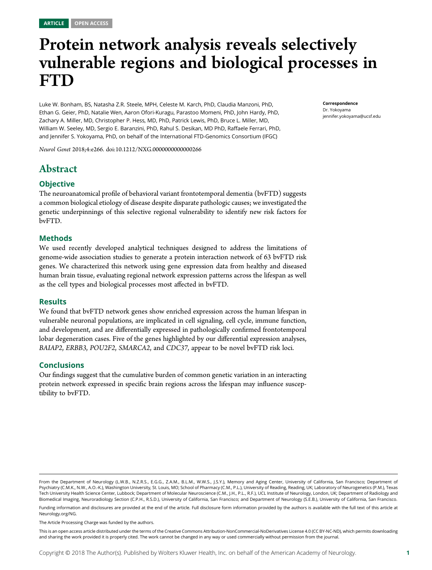# Protein network analysis reveals selectively vulnerable regions and biological processes in **FTD**

Luke W. Bonham, BS, Natasha Z.R. Steele, MPH, Celeste M. Karch, PhD, Claudia Manzoni, PhD, Ethan G. Geier, PhD, Natalie Wen, Aaron Ofori-Kuragu, Parastoo Momeni, PhD, John Hardy, PhD, Zachary A. Miller, MD, Christopher P. Hess, MD, PhD, Patrick Lewis, PhD, Bruce L. Miller, MD, William W. Seeley, MD, Sergio E. Baranzini, PhD, Rahul S. Desikan, MD PhD, Raffaele Ferrari, PhD, and Jennifer S. Yokoyama, PhD, on behalf of the International FTD-Genomics Consortium (IFGC)

Neurol Genet 2018;4:e266. doi:[10.1212/NXG.0000000000000266](http://dx.doi.org/10.1212/NXG.0000000000000266)

# Abstract

### **Objective**

The neuroanatomical profile of behavioral variant frontotemporal dementia (bvFTD) suggests a common biological etiology of disease despite disparate pathologic causes; we investigated the genetic underpinnings of this selective regional vulnerability to identify new risk factors for bvFTD.

#### Methods

We used recently developed analytical techniques designed to address the limitations of genome-wide association studies to generate a protein interaction network of 63 bvFTD risk genes. We characterized this network using gene expression data from healthy and diseased human brain tissue, evaluating regional network expression patterns across the lifespan as well as the cell types and biological processes most affected in bvFTD.

#### Results

We found that bvFTD network genes show enriched expression across the human lifespan in vulnerable neuronal populations, are implicated in cell signaling, cell cycle, immune function, and development, and are differentially expressed in pathologically confirmed frontotemporal lobar degeneration cases. Five of the genes highlighted by our differential expression analyses, BAIAP2, ERBB3, POU2F2, SMARCA2, and CDC37, appear to be novel bvFTD risk loci.

#### Conclusions

Our findings suggest that the cumulative burden of common genetic variation in an interacting protein network expressed in specific brain regions across the lifespan may influence susceptibility to bvFTD.

Funding information and disclosures are provided at the end of the article. Full disclosure form information provided by the authors is available with the full text of this article at [Neurology.org/NG](http://ng.neurology.org/lookup/doi/10.1212/NXG.0000000000000266).

The Article Processing Charge was funded by the authors.

This is an open access article distributed under the terms of the [Creative Commons Attribution-NonCommercial-NoDerivatives License 4.0 \(CC BY-NC-ND\),](http://creativecommons.org/licenses/by-nc-nd/4.0/) which permits downloading and sharing the work provided it is properly cited. The work cannot be changed in any way or used commercially without permission from the journal.

Correspondence Dr. Yokoyama [jennifer.yokoyama@ucsf.edu](mailto:jennifer.yokoyama@ucsf.edu)

From the Department of Neurology (L.W.B., N.Z.R.S., E.G.G., Z.A.M., B.L.M., W.W.S., J.S.Y.), Memory and Aging Center, University of California, San Francisco; Department of Psychiatry (C.M.K., N.W., A.O.-K.), Washington University, St. Louis, MO; School of Pharmacy (C.M., P.L.), University of Reading, Reading, UK; Laboratory of Neurogenetics (P.M.), Texas Tech University Health Science Center, Lubbock; Department of Molecular Neuroscience (C.M., J.H., P.L., R.F.), UCL Institute of Neurology, London, UK; Department of Radiology and Biomedical Imaging, Neuroradiology Section (C.P.H., R.S.D.), University of California, San Francisco; and Department of Neurology (S.E.B.), University of California, San Francisco.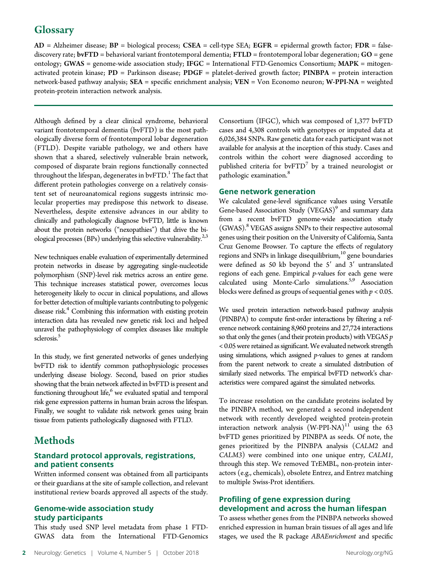# **Glossary**

 $AD = Alz$ heimer disease;  $BP = biological$  process;  $CSEA = cell$ -type SEA;  $EGFR =$  epidermal growth factor;  $FDR =$  falsediscovery rate; bvFTD = behavioral variant frontotemporal dementia; FTLD = frontotemporal lobar degeneration;  $GO =$  gene ontology; GWAS = genome-wide association study; IFGC = International FTD-Genomics Consortium; MAPK = mitogenactivated protein kinase;  $PD =$  Parkinson disease;  $PDGF =$  platelet-derived growth factor;  $PINDPA =$  protein interaction network-based pathway analysis; SEA = specific enrichment analysis; VEN = Von Economo neuron; W-PPI-NA = weighted protein-protein interaction network analysis.

Although defined by a clear clinical syndrome, behavioral variant frontotemporal dementia (bvFTD) is the most pathologically diverse form of frontotemporal lobar degeneration (FTLD). Despite variable pathology, we and others have shown that a shared, selectively vulnerable brain network, composed of disparate brain regions functionally connected throughout the lifespan, degenerates in bvFTD.<sup>1</sup> The fact that different protein pathologies converge on a relatively consistent set of neuroanatomical regions suggests intrinsic molecular properties may predispose this network to disease. Nevertheless, despite extensive advances in our ability to clinically and pathologically diagnose bvFTD, little is known about the protein networks ("nexopathies") that drive the biological processes (BPs) underlying this selective vulnerability.<sup>2,3</sup>

New techniques enable evaluation of experimentally determined protein networks in disease by aggregating single-nucleotide polymorphism (SNP)-level risk metrics across an entire gene. This technique increases statistical power, overcomes locus heterogeneity likely to occur in clinical populations, and allows for better detection of multiple variants contributing to polygenic disease risk.<sup>4</sup> Combining this information with existing protein interaction data has revealed new genetic risk loci and helped unravel the pathophysiology of complex diseases like multiple sclerosis.<sup>5</sup>

In this study, we first generated networks of genes underlying bvFTD risk to identify common pathophysiologic processes underlying disease biology. Second, based on prior studies showing that the brain network affected in bvFTD is present and functioning throughout life, $6$  we evaluated spatial and temporal risk gene expression patterns in human brain across the lifespan. Finally, we sought to validate risk network genes using brain tissue from patients pathologically diagnosed with FTLD.

# Methods

### Standard protocol approvals, registrations, and patient consents

Written informed consent was obtained from all participants or their guardians at the site of sample collection, and relevant institutional review boards approved all aspects of the study.

### Genome-wide association study study participants

This study used SNP level metadata from phase 1 FTD-GWAS data from the International FTD-Genomics Consortium (IFGC), which was composed of 1,377 bvFTD cases and 4,308 controls with genotypes or imputed data at 6,026,384 SNPs. Raw genetic data for each participant was not available for analysis at the inception of this study. Cases and controls within the cohort were diagnosed according to published criteria for  $b\nu FTD^7$  by a trained neurologist or pathologic examination.<sup>8</sup>

### Gene network generation

We calculated gene-level significance values using Versatile Gene-based Association Study (VEGAS)<sup>9</sup> and summary data from a recent bvFTD genome-wide association study (GWAS).<sup>8</sup> VEGAS assigns SNPs to their respective autosomal genes using their position on the University of California, Santa Cruz Genome Browser. To capture the effects of regulatory regions and SNPs in linkage disequilibrium,<sup>10</sup> gene boundaries were defined as 50 kb beyond the  $5'$  and  $3'$  untranslated regions of each gene. Empirical p-values for each gene were calculated using Monte-Carlo simulations.<sup>5,9</sup> Association blocks were defined as groups of sequential genes with  $p < 0.05$ .

We used protein interaction network-based pathway analysis (PINBPA) to compute first-order interactions by filtering a reference network containing 8,960 proteins and 27,724 interactions so that only the genes (and their protein products) with VEGAS  $p$ < 0.05 were retained as significant. We evaluated network strength using simulations, which assigned  $p$ -values to genes at random from the parent network to create a simulated distribution of similarly sized networks. The empirical bvFTD network's characteristics were compared against the simulated networks.

To increase resolution on the candidate proteins isolated by the PINBPA method, we generated a second independent network with recently developed weighted protein-protein interaction network analysis  $(W-PPI-NA)^{11}$  using the 63 bvFTD genes prioritized by PINBPA as seeds. Of note, the genes prioritized by the PINBPA analysis (CALM2 and CALM3) were combined into one unique entry, CALM1, through this step. We removed TrEMBL, non-protein interactors (e.g., chemicals), obsolete Entrez, and Entrez matching to multiple Swiss-Prot identifiers.

### Profiling of gene expression during development and across the human lifespan

To assess whether genes from the PINBPA networks showed enriched expression in human brain tissues of all ages and life stages, we used the R package ABAEnrichment and specific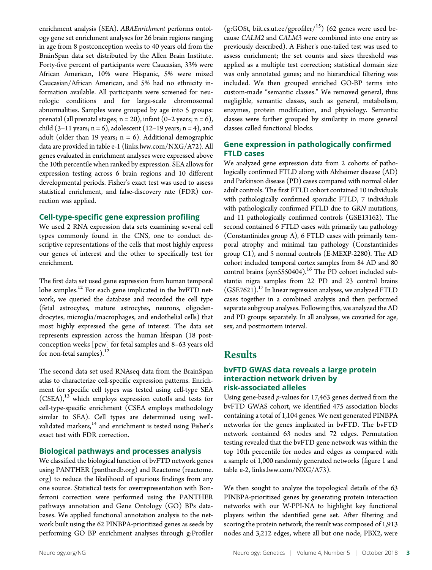enrichment analysis (SEA). ABAEnrichment performs ontology gene set enrichment analyses for 26 brain regions ranging in age from 8 postconception weeks to 40 years old from the BrainSpan data set distributed by the Allen Brain Institute. Forty-five percent of participants were Caucasian, 33% were African American, 10% were Hispanic, 5% were mixed Caucasian/African American, and 5% had no ethnicity information available. All participants were screened for neurologic conditions and for large-scale chromosomal abnormalities. Samples were grouped by age into 5 groups: prenatal (all prenatal stages;  $n = 20$ ), infant (0–2 years;  $n = 6$ ), child  $(3-11 \text{ years}; n = 6)$ , adolescent  $(12-19 \text{ years}; n = 4)$ , and adult (older than 19 years;  $n = 6$ ). Additional demographic data are provided in table e-1 ([links.lww.com/NXG/A72\)](http://links.lww.com/NXG/A72). All genes evaluated in enrichment analyses were expressed above the 10th percentile when ranked by expression. SEA allows for expression testing across 6 brain regions and 10 different developmental periods. Fisher's exact test was used to assess statistical enrichment, and false-discovery rate (FDR) correction was applied.

### Cell-type-specific gene expression profiling

We used 2 RNA expression data sets examining several cell types commonly found in the CNS, one to conduct descriptive representations of the cells that most highly express our genes of interest and the other to specifically test for enrichment.

The first data set used gene expression from human temporal lobe samples.<sup>12</sup> For each gene implicated in the bvFTD network, we queried the database and recorded the cell type (fetal astrocytes, mature astrocytes, neurons, oligodendrocytes, microglia/macrophages, and endothelial cells) that most highly expressed the gene of interest. The data set represents expression across the human lifespan (18 postconception weeks [pcw] for fetal samples and 8–63 years old for non-fetal samples). $^{12}$ 

The second data set used RNAseq data from the BrainSpan atlas to characterize cell-specific expression patterns. Enrichment for specific cell types was tested using cell-type SEA (CSEA),<sup>13</sup> which employs expression cutoffs and tests for cell-type-specific enrichment (CSEA employs methodology similar to SEA). Cell types are determined using wellvalidated markers,<sup>14</sup> and enrichment is tested using Fisher's exact test with FDR correction.

### Biological pathways and processes analysis

We classified the biological function of bvFTD network genes using PANTHER ([pantherdb.org](http://www.pantherdb.org)/)) and Reactome [\(reactome.](http://www.reactome.org/) [org\)](http://www.reactome.org/) to reduce the likelihood of spurious findings from any one source. Statistical tests for overrepresentation with Bonferroni correction were performed using the PANTHER pathways annotation and Gene Ontology (GO) BPs databases. We applied functional annotation analysis to the network built using the 62 PINBPA-prioritized genes as seeds by performing GO BP enrichment analyses through g:Profiler

 $(g:GOSt, \text{bit.cs.ut.ee/gprofile}/^{15})$  (62 genes were used because CALM2 and CALM3 were combined into one entry as previously described). A Fisher's one-tailed test was used to assess enrichment; the set counts and sizes threshold was applied as a multiple test correction; statistical domain size was only annotated genes; and no hierarchical filtering was included. We then grouped enriched GO-BP terms into custom-made "semantic classes." We removed general, thus negligible, semantic classes, such as general, metabolism, enzymes, protein modification, and physiology. Semantic classes were further grouped by similarity in more general classes called functional blocks.

### Gene expression in pathologically confirmed FTLD cases

We analyzed gene expression data from 2 cohorts of pathologically confirmed FTLD along with Alzheimer disease (AD) and Parkinson disease (PD) cases compared with normal older adult controls. The first FTLD cohort contained 10 individuals with pathologically confirmed sporadic FTLD, 7 individuals with pathologically confirmed FTLD due to GRN mutations, and 11 pathologically confirmed controls (GSE13162). The second contained 6 FTLD cases with primarily tau pathology (Constantinides group A), 6 FTLD cases with primarily temporal atrophy and minimal tau pathology (Constantinides group C1), and 5 normal controls (E-MEXP-2280). The AD cohort included temporal cortex samples from 84 AD and 80 control brains (syn5550404).<sup>16</sup> The PD cohort included substantia nigra samples from 22 PD and 23 control brains  $(GSE7621).$ <sup>17</sup> In linear regression analyses, we analyzed FTLD cases together in a combined analysis and then performed separate subgroup analyses. Following this, we analyzed the AD and PD groups separately. In all analyses, we covaried for age, sex, and postmortem interval.

# Results

### bvFTD GWAS data reveals a large protein interaction network driven by risk-associated alleles

Using gene-based p-values for 17,463 genes derived from the bvFTD GWAS cohort, we identified 475 association blocks containing a total of 1,104 genes. We next generated PINBPA networks for the genes implicated in bvFTD. The bvFTD network contained 63 nodes and 72 edges. Permutation testing revealed that the bvFTD gene network was within the top 10th percentile for nodes and edges as compared with a sample of 1,000 randomly generated networks (figure 1 and table e-2, [links.lww.com/NXG/A73\)](http://links.lww.com/NXG/A73).

We then sought to analyze the topological details of the 63 PINBPA-prioritized genes by generating protein interaction networks with our W-PPI-NA to highlight key functional players within the identified gene set. After filtering and scoring the protein network, the result was composed of 1,913 nodes and 3,212 edges, where all but one node, PBX2, were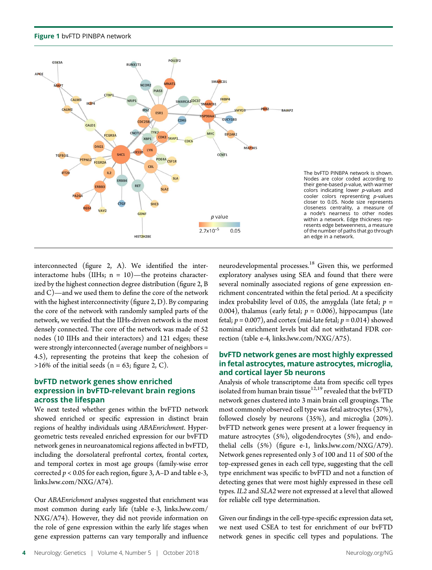the core of the network with randomly sampled parts of the network, we verified that the IIHs-driven network is the most densely connected. The core of the network was made of 52 nodes (10 IIHs and their interactors) and 121 edges; these were strongly interconnected (average number of neighbors = 4.5), representing the proteins that keep the cohesion of

### bvFTD network genes show enriched expression in bvFTD-relevant brain regions across the lifespan

 $>16\%$  of the initial seeds (n = 63; figure 2, C).

interconnected (figure 2, A). We identified the interinteractome hubs (IIHs;  $n = 10$ )—the proteins characterized by the highest connection degree distribution (figure 2, B and C)—and we used them to define the core of the network with the highest interconnectivity (figure 2, D). By comparing

We next tested whether genes within the bvFTD network showed enriched or specific expression in distinct brain regions of healthy individuals using ABAEnrichment. Hypergeometric tests revealed enriched expression for our bvFTD network genes in neuroanatomical regions affected in bvFTD, including the dorsolateral prefrontal cortex, frontal cortex, and temporal cortex in most age groups (family-wise error corrected  $p < 0.05$  for each region, figure 3, A–D and table e-3, [links.lww.com/NXG/A74](http://links.lww.com/NXG/A74)).

Our ABAEnrichment analyses suggested that enrichment was most common during early life (table e-3, [links.lww.com/](http://links.lww.com/NXG/A74) [NXG/A74](http://links.lww.com/NXG/A74)). However, they did not provide information on the role of gene expression within the early life stages when gene expression patterns can vary temporally and influence neurodevelopmental processes.<sup>18</sup> Given this, we performed exploratory analyses using SEA and found that there were several nominally associated regions of gene expression enrichment concentrated within the fetal period. At a specificity index probability level of 0.05, the amygdala (late fetal;  $p =$ 0.004), thalamus (early fetal;  $p = 0.006$ ), hippocampus (late fetal;  $p = 0.007$ ), and cortex (mid-late fetal;  $p = 0.014$ ) showed nominal enrichment levels but did not withstand FDR correction (table e-4, [links.lww.com/NXG/A75\)](http://links.lww.com/NXG/A75).

### bvFTD network genes are most highly expressed in fetal astrocytes, mature astrocytes, microglia, and cortical layer 5b neurons

Analysis of whole transcriptome data from specific cell types isolated from human brain tissue $^{12,19}$  revealed that the bvFTD network genes clustered into 3 main brain cell groupings. The most commonly observed cell type was fetal astrocytes (37%), followed closely by neurons (35%), and microglia (20%). bvFTD network genes were present at a lower frequency in mature astrocytes (5%), oligodendrocytes (5%), and endothelial cells (5%) (figure e-1, [links.lww.com/NXG/A79\)](http://links.lww.com/NXG/A79). Network genes represented only 3 of 100 and 11 of 500 of the top-expressed genes in each cell type, suggesting that the cell type enrichment was specific to bvFTD and not a function of detecting genes that were most highly expressed in these cell types. IL2 and SLA2 were not expressed at a level that allowed for reliable cell type determination.

Given our findings in the cell-type-specific expression data set, we next used CSEA to test for enrichment of our bvFTD network genes in specific cell types and populations. The

The bvFTD PINBPA network is shown. Nodes are color coded according to their gene-based p-value, with warmer colors indicating lower p-values and cooler colors representing p-values closer to 0.05. Node size represents closeness centrality, a measure of a node's nearness to other nodes within a network. Edge thickness represents edge betweenness, a measure of the number of paths that go through an edge in a network.

### Figure 1 bvFTD PINBPA network

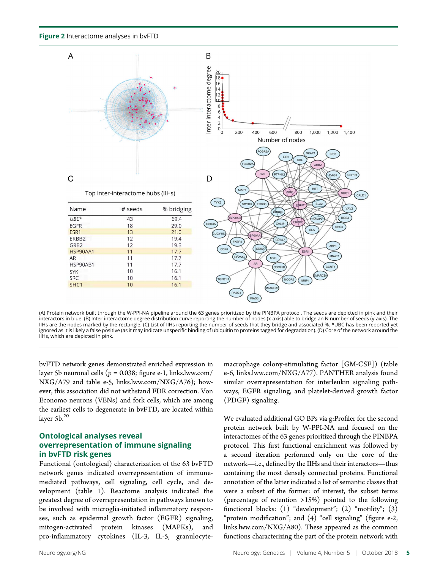Figure 2 Interactome analyses in bvFTD



(A) Protein network built through the W-PPI-NA pipeline around the 63 genes prioritized by the PINBPA protocol. The seeds are depicted in pink and their interactors in blue. (B) Inter-interactome degree distribution curve reporting the number of nodes (x-axis) able to bridge an N number of seeds (y-axis). The IIHs are the nodes marked by the rectangle. (C) List of IIHs reporting the number of seeds that they bridge and associated %. \*UBC has been reported yet ignored as it is likely a false positive (as it may indicate unspecific binding of ubiquitin to proteins tagged for degradation). (D) Core of the network around the IIHs, which are depicted in pink.

bvFTD network genes demonstrated enriched expression in layer 5b neuronal cells ( $p = 0.038$ ; figure e-1, [links.lww.com/](http://links.lww.com/NXG/A79) [NXG/A79](http://links.lww.com/NXG/A79) and table e-5, [links.lww.com/NXG/A76](http://links.lww.com/NXG/A76)); however, this association did not withstand FDR correction. Von Economo neurons (VENs) and fork cells, which are among the earliest cells to degenerate in bvFTD, are located within layer  $5b.<sup>20</sup>$ 

### Ontological analyses reveal overrepresentation of immune signaling in bvFTD risk genes

Functional (ontological) characterization of the 63 bvFTD network genes indicated overrepresentation of immunemediated pathways, cell signaling, cell cycle, and development (table 1). Reactome analysis indicated the greatest degree of overrepresentation in pathways known to be involved with microglia-initiated inflammatory responses, such as epidermal growth factor (EGFR) signaling, mitogen-activated protein kinases (MAPKs), and pro-inflammatory cytokines (IL-3, IL-5, granulocytemacrophage colony-stimulating factor [GM-CSF]) (table e-6, [links.lww.com/NXG/A77](http://links.lww.com/NXG/A77)). PANTHER analysis found similar overrepresentation for interleukin signaling pathways, EGFR signaling, and platelet-derived growth factor (PDGF) signaling.

We evaluated additional GO BPs via g:Profiler for the second protein network built by W-PPI-NA and focused on the interactomes of the 63 genes prioritized through the PINBPA protocol. This first functional enrichment was followed by a second iteration performed only on the core of the network—i.e., defined by the IIHs and their interactors—thus containing the most densely connected proteins. Functional annotation of the latter indicated a list of semantic classes that were a subset of the former: of interest, the subset terms (percentage of retention >15%) pointed to the following functional blocks:  $(1)$  "development";  $(2)$  "motility";  $(3)$ "protein modification"; and (4) "cell signaling" (figure e-2, [links.lww.com/NXG/A80\)](http://links.lww.com/NXG/A80). These appeared as the common functions characterizing the part of the protein network with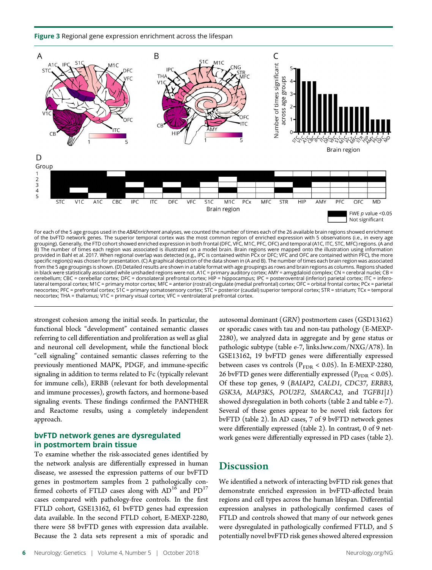Figure 3 Regional gene expression enrichment across the lifespan



of the bvFTD network genes. The superior temporal cortex was the most common region of enriched expression with 5 observations (i.e., in every age grouping). Generally, the FTD cohort showed enriched expression in both frontal (DFC, VFC, M1C, PFC, OFC) and temporal (A1C, ITC, STC, MFC) regions. (A and<br>B) The number of times each region was associated is illustrated o provided in Bahl et al. 2017. When regional overlap was detected (e.g., IPC is contained within PCx or DFC; VFC and OFC are contained within PFC), the more specific region(s) was chosen for presentation. (C) A graphical depiction of the data shown in (A and B). The number of times each brain region was associated from the 5 age groupings is shown. (D) Detailed results are shown in a table format with age groupings as rows and brain regions as columns. Regions shaded in black were statistically associated while unshaded regions were not. A1C = primary auditory cortex; AMY = amygdaloid complex; CN = cerebral nuclei; CB =<br>cerebellum; CBC = cerebellar cortex; DFC = dorsolateral prefrontal lateral temporal cortex; M1C = primary motor cortex; MFC = anterior (rostral) cingulate (medial prefrontal) cortex; OFC = orbital frontal cortex; PCx = parietal neocortex; PFC = prefrontal cortex; S1C = primary somatosensory cortex; STC = posterior (caudal) superior temporal cortex; STR = striatum; TCx = temporal neocortex; THA = thalamus; V1C = primary visual cortex; VFC = ventrolateral prefrontal cortex.

strongest cohesion among the initial seeds. In particular, the functional block "development" contained semantic classes referring to cell differentiation and proliferation as well as glial and neuronal cell development, while the functional block "cell signaling" contained semantic classes referring to the previously mentioned MAPK, PDGF, and immune-specific signaling in addition to terms related to Fc (typically relevant for immune cells), ERBB (relevant for both developmental and immune processes), growth factors, and hormone-based signaling events. These findings confirmed the PANTHER and Reactome results, using a completely independent approach.

### bvFTD network genes are dysregulated in postmortem brain tissue

To examine whether the risk-associated genes identified by the network analysis are differentially expressed in human disease, we assessed the expression patterns of our bvFTD genes in postmortem samples from 2 pathologically confirmed cohorts of FTLD cases along with  $AD^{16}$  and  $PD^{17}$ cases compared with pathology-free controls. In the first FTLD cohort, GSE13162, 61 bvFTD genes had expression data available. In the second FTLD cohort, E-MEXP-2280, there were 58 bvFTD genes with expression data available. Because the 2 data sets represent a mix of sporadic and autosomal dominant (GRN) postmortem cases (GSD13162) or sporadic cases with tau and non-tau pathology (E-MEXP-2280), we analyzed data in aggregate and by gene status or pathologic subtype (table e-7, [links.lww.com/NXG/A78\)](http://links.lww.com/NXG/A78). In GSE13162, 19 bvFTD genes were differentially expressed between cases vs controls ( $P_{\text{FDR}}$  < 0.05). In E-MEXP-2280, 26 bvFTD genes were differentially expressed ( $P_{\rm FDR}$  < 0.05). Of these top genes, 9 (BAIAP2, CALD1, CDC37, ERBB3, GSK3A, MAP3K5, POU2F2, SMARCA2, and TGFB1|1) showed dysregulation in both cohorts (table 2 and table e-7). Several of these genes appear to be novel risk factors for bvFTD (table 2). In AD cases, 7 of 9 bvFTD network genes were differentially expressed (table 2). In contrast, 0 of 9 network genes were differentially expressed in PD cases (table 2).

## **Discussion**

We identified a network of interacting bvFTD risk genes that demonstrate enriched expression in bvFTD-affected brain regions and cell types across the human lifespan. Differential expression analyses in pathologically confirmed cases of FTLD and controls showed that many of our network genes were dysregulated in pathologically confirmed FTLD, and 5 potentially novel bvFTD risk genes showed altered expression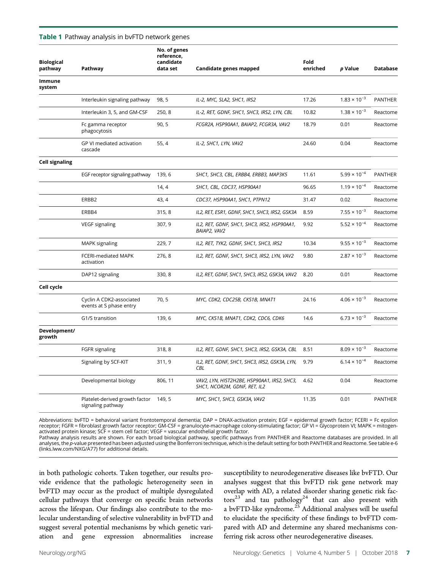Table 1 Pathway analysis in bvFTD network genes

| <b>Biological</b><br>pathway | Pathway                                             | No. of genes<br>reference,<br>candidate<br>data set | <b>Candidate genes mapped</b>                                               | Fold<br>enriched | p Value               | <b>Database</b> |
|------------------------------|-----------------------------------------------------|-----------------------------------------------------|-----------------------------------------------------------------------------|------------------|-----------------------|-----------------|
| Immune<br>system             |                                                     |                                                     |                                                                             |                  |                       |                 |
|                              | Interleukin signaling pathway                       | 98, 5                                               | IL-2, MYC, SLA2, SHC1, IRS2                                                 | 17.26            | $1.83 \times 10^{-3}$ | <b>PANTHER</b>  |
|                              | Interleukin 3, 5, and GM-CSF                        | 250, 8                                              | IL-2, RET, GDNF, SHC1, SHC3, IRS2, LYN, CBL                                 | 10.82            | $1.38 \times 10^{-3}$ | Reactome        |
|                              | Fc gamma receptor<br>phagocytosis                   | 90, 5                                               | FCGR2A, HSP90AA1, BAIAP2, FCGR3A, VAV2                                      | 18.79            | 0.01                  | Reactome        |
|                              | GP VI mediated activation<br>cascade                | 55, 4                                               | IL-2, SHC1, LYN, VAV2                                                       | 24.60            | 0.04                  | Reactome        |
| <b>Cell signaling</b>        |                                                     |                                                     |                                                                             |                  |                       |                 |
|                              | EGF receptor signaling pathway                      | 139, 6                                              | SHC1, SHC3, CBL, ERBB4, ERBB3, MAP3K5                                       | 11.61            | $5.99 \times 10^{-4}$ | <b>PANTHER</b>  |
|                              |                                                     | 14, 4                                               | SHC1, CBL, CDC37, HSP90AA1                                                  | 96.65            | $1.19 \times 10^{-4}$ | Reactome        |
|                              | ERBB2                                               | 43, 4                                               | CDC37, HSP90AA1, SHC1, PTPN12                                               | 31.47            | 0.02                  | Reactome        |
|                              | ERBB4                                               | 315, 8                                              | IL2, RET, ESR1, GDNF, SHC1, SHC3, IRS2, GSK3A                               | 8.59             | $7.55 \times 10^{-3}$ | Reactome        |
|                              | <b>VEGF</b> signaling                               | 307, 9                                              | IL2, RET, GDNF, SHC1, SHC3, IRS2, HSP90AA1,<br>BAIAP2, VAV2                 | 9.92             | $5.52 \times 10^{-4}$ | Reactome        |
|                              | <b>MAPK</b> signaling                               | 229, 7                                              | IL2, RET, TYK2, GDNF, SHC1, SHC3, IRS2                                      | 10.34            | $9.55 \times 10^{-3}$ | Reactome        |
|                              | FCERI-mediated MAPK<br>activation                   | 276, 8                                              | IL2, RET, GDNF, SHC1, SHC3, IRS2, LYN, VAV2                                 | 9.80             | $2.87 \times 10^{-3}$ | Reactome        |
|                              | DAP12 signaling                                     | 330, 8                                              | IL2, RET, GDNF, SHC1, SHC3, IRS2, GSK3A, VAV2                               | 8.20             | 0.01                  | Reactome        |
| Cell cycle                   |                                                     |                                                     |                                                                             |                  |                       |                 |
|                              | Cyclin A CDK2-associated<br>events at S phase entry | 70, 5                                               | MYC, CDK2, CDC25B, CKS1B, MNAT1                                             | 24.16            | $4.06 \times 10^{-3}$ | Reactome        |
|                              | G1/S transition                                     | 139,6                                               | MYC, CKS1B, MNAT1, CDK2, CDC6, CDK6                                         | 14.6             | $6.73 \times 10^{-3}$ | Reactome        |
| Development/<br>growth       |                                                     |                                                     |                                                                             |                  |                       |                 |
|                              | FGFR signaling                                      | 318, 8                                              | IL2, RET, GDNF, SHC1, SHC3, IRS2, GSK3A, CBL                                | 8.51             | $8.09 \times 10^{-3}$ | Reactome        |
|                              | Signaling by SCF-KIT                                | 311, 9                                              | IL2, RET, GDNF, SHC1, SHC3, IRS2, GSK3A, LYN,<br><b>CBL</b>                 | 9.79             | $6.14 \times 10^{-4}$ | Reactome        |
|                              | Developmental biology                               | 806, 11                                             | VAV2, LYN, HIST2H2BE, HSP90AA1, IRS2, SHC3,<br>SHC1, NCOR2M, GDNF, RET, IL2 | 4.62             | 0.04                  | Reactome        |
|                              | Platelet-derived growth factor<br>signaling pathway | 149, 5                                              | MYC, SHC1, SHC3, GSK3A, VAV2                                                | 11.35            | 0.01                  | <b>PANTHER</b>  |

Abbreviations: bvFTD = behavioral variant frontotemporal dementia; DAP = DNAX-activation protein; EGF = epidermal growth factor; FCERI = Fc epsilon<br>receptor; FGFR = fibroblast growth factor receptor; GM-CSF = granulocyte-m activated protein kinase; SCF = stem cell factor; VEGF = vascular endothelial growth factor.

Pathway analysis results are shown. For each broad biological pathway, specific pathways from PANTHER and Reactome databases are provided. In all analyses, the p-value presented has been adjusted using the Bonferroni technique, which is the default setting for both PANTHER and Reactome. See table e-6 ([links.lww.com/NXG/A77](http://links.lww.com/NXG/A77)) for additional details.

in both pathologic cohorts. Taken together, our results provide evidence that the pathologic heterogeneity seen in bvFTD may occur as the product of multiple dysregulated cellular pathways that converge on specific brain networks across the lifespan. Our findings also contribute to the molecular understanding of selective vulnerability in bvFTD and suggest several potential mechanisms by which genetic variation and gene expression abnormalities increase

susceptibility to neurodegenerative diseases like bvFTD. Our analyses suggest that this bvFTD risk gene network may overlap with AD, a related disorder sharing genetic risk fac- $\arccos^{23}$  and tau pathology<sup>24</sup> that can also present with a bvFTD-like syndrome.<sup>25</sup> Additional analyses will be useful to elucidate the specificity of these findings to bvFTD compared with AD and determine any shared mechanisms conferring risk across other neurodegenerative diseases.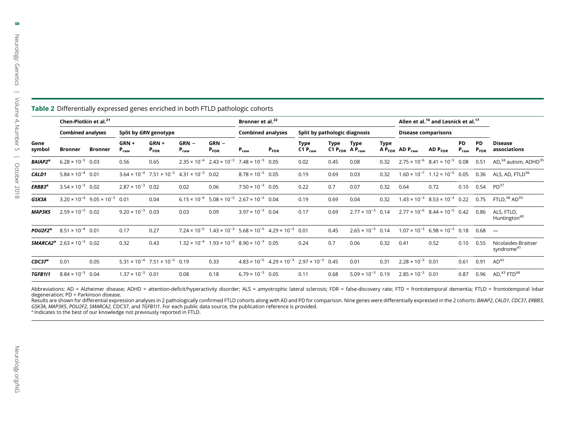| Gene<br>symbol            | Chen-Plotkin et al. <sup>21</sup>                     |                                             |                            |                                                  |                            |                                             | Bronner et al. <sup>22</sup>                                                                                            |                               |                                                                        |      |                                  |      | Allen et al. <sup>16</sup> and Lesnick et al. <sup>17</sup> |                                                  |                        |                         |                                               |
|---------------------------|-------------------------------------------------------|---------------------------------------------|----------------------------|--------------------------------------------------|----------------------------|---------------------------------------------|-------------------------------------------------------------------------------------------------------------------------|-------------------------------|------------------------------------------------------------------------|------|----------------------------------|------|-------------------------------------------------------------|--------------------------------------------------|------------------------|-------------------------|-----------------------------------------------|
|                           | <b>Combined analyses</b>                              |                                             | Split by GRN genotype      |                                                  |                            | <b>Combined analyses</b>                    |                                                                                                                         | Split by pathologic diagnosis |                                                                        |      | <b>Disease comparisons</b>       |      |                                                             |                                                  |                        |                         |                                               |
|                           | <b>Bronner</b>                                        | <b>Bronner</b>                              | $GRN +$<br>$P_{raw}$       | $GRN +$<br>$P_{FDR}$                             | $GRN -$<br>$P_{raw}$       | $GRN -$<br>$P_{FDR}$                        | $P_{raw}$                                                                                                               | $P_{FDR}$                     | Type<br>$C1P_{raw}$                                                    | Type | Type<br>C1 $P_{FDR}$ A $P_{raw}$ | Type | A $P_{FDR}$ AD $P_{raw}$                                    | AD P <sub>FDR</sub>                              | <b>PD</b><br>$P_{raw}$ | <b>PD</b><br>$P_{FDR}$  | <b>Disease</b><br>associations                |
| <b>BAIAP2<sup>a</sup></b> | $6.28 \times 10^{-3}$ 0.03                            |                                             | 0.56                       | 0.65                                             |                            |                                             | $2.35 \times 10^{-4}$ $2.43 \times 10^{-3}$ $7.48 \times 10^{-3}$ 0.05                                                  |                               | 0.02                                                                   | 0.45 | 0.08                             | 0.32 |                                                             | $2.75 \times 10^{-6}$ 8.41 $\times 10^{-5}$ 0.08 |                        | 0.51                    | AD, 34 autism, ADHD 35                        |
| CALD1                     | $5.84 \times 10^{-4}$ 0.01                            |                                             | $3.64 \times 10^{-4}$      | $7.51 \times 10^{-3}$                            | $4.31 \times 10^{-3}$ 0.02 |                                             | $8.78 \times 10^{-3}$ 0.05                                                                                              |                               | 0.19                                                                   | 0.69 | 0.03                             | 0.32 |                                                             | $1.60 \times 10^{-7}$ $1.12 \times 10^{-5}$ 0.05 |                        | 0.36                    | ALS, AD, FTLD <sup>36</sup>                   |
| ERBB3 <sup>a</sup>        | $3.54 \times 10^{-3}$ 0.02                            |                                             | $2.87 \times 10^{-3}$ 0.02 |                                                  | 0.02                       | 0.06                                        | $7.50 \times 10^{-3}$ 0.05                                                                                              |                               | 0.22                                                                   | 0.7  | 0.07                             | 0.32 | 0.64                                                        | 0.72                                             | 0.10                   | $0.54$ PD <sup>37</sup> |                                               |
| GSK3A                     |                                                       | $3.20 \times 10^{-4}$ 9.05 $\times 10^{-3}$ | 0.01                       | 0.04                                             |                            | $6.15 \times 10^{-4}$ 5.08 $\times 10^{-3}$ | $2.67 \times 10^{-3}$ 0.04                                                                                              |                               | 0.19                                                                   | 0.69 | 0.04                             | 0.32 |                                                             | $1.43 \times 10^{-3}$ 8.53 $\times 10^{-3}$ 0.22 |                        | 0.75                    | FTLD <sup>38</sup> AD <sup>39</sup>           |
| <b>МАРЗК5</b>             | $2.59 \times 10^{-3}$ 0.02                            |                                             | $9.20 \times 10^{-3}$ 0.03 |                                                  | 0.03                       | 0.09                                        | $3.97 \times 10^{-3}$ 0.04                                                                                              |                               | 0.17                                                                   | 0.69 | $2.77 \times 10^{-3}$            | 0.14 |                                                             | $2.77 \times 10^{-6}$ 8.44 $\times 10^{-5}$ 0.42 |                        | 0.86                    | ALS, FTLD,<br>Huntington <sup>40</sup>        |
| POU2F2 <sup>a</sup>       | $8.51 \times 10^{-4}$ 0.01                            |                                             | 0.17                       | 0.27                                             |                            |                                             | $7.24 \times 10^{-5}$ 1.43 $\times$ 10 <sup>-3</sup> 5.68 $\times$ 10 <sup>-5</sup> 4.29 $\times$ 10 <sup>-3</sup> 0.01 |                               |                                                                        | 0.45 | $2.65 \times 10^{-3}$ 0.14       |      |                                                             | $1.07 \times 10^{-3}$ 6.98 $\times 10^{-3}$ 0.18 |                        | $0.68 -$                |                                               |
|                           | <b>SMARCA2<sup>a</sup></b> $2.63 \times 10^{-3}$ 0.02 |                                             | 0.32                       | 0.43                                             |                            |                                             | $1.32 \times 10^{-4}$ $1.93 \times 10^{-3}$ $8.90 \times 10^{-3}$ 0.05                                                  |                               | 0.24                                                                   | 0.7  | 0.06                             | 0.32 | 0.41                                                        | 0.52                                             | 0.10                   | 0.55                    | Nicolaides-Braitser<br>syndrome <sup>41</sup> |
| CDC37 <sup>a</sup>        | 0.01                                                  | 0.05                                        |                            | $5.31 \times 10^{-4}$ 7.51 $\times 10^{-3}$ 0.19 |                            | 0.33                                        |                                                                                                                         |                               | $4.83 \times 10^{-5}$ $4.29 \times 10^{-3}$ $2.97 \times 10^{-3}$ 0.45 |      | 0.01                             | 0.31 | $2.28 \times 10^{-3}$ 0.01                                  |                                                  | 0.61                   | 0.91                    | AD <sup>42</sup>                              |
| <b>TGFB1I1</b>            | $8.84 \times 10^{-3}$ 0.04                            |                                             | $1.37 \times 10^{-3}$ 0.01 |                                                  | 0.08                       | 0.18                                        | $6.79 \times 10^{-3}$ 0.05                                                                                              |                               | 0.11                                                                   | 0.68 | $5.09 \times 10^{-3}$            | 0.19 | $2.85 \times 10^{-3}$ 0.01                                  |                                                  | 0.87                   | 0.96                    | AD, $43$ FTD $44$                             |

#### Table 2 Differentially expressed genes enriched in both FTLD pathologic cohorts

Abbreviations: AD = Alzheimer disease; ADHD = attention-deficit/hyperactivity disorder; ALS = amyotrophic lateral sclerosis; FDR = false-discovery rate; FTD = frontotemporal dementia; FTLD = frontotemporal lobar degeneration; PD <sup>=</sup> Parkinson disease.

Results are shown for differential expression analyses in 2 pathologically confirmed FTLD cohorts along with AD and PD for comparison. Nine genes were differentially expressed in the 2 cohorts: *BAIAP2, CALD1, CDC37, ERBB3* 

<sup>a</sup> Indicates to the best of our knowledge not previously reported in FTLD.

 $\infty$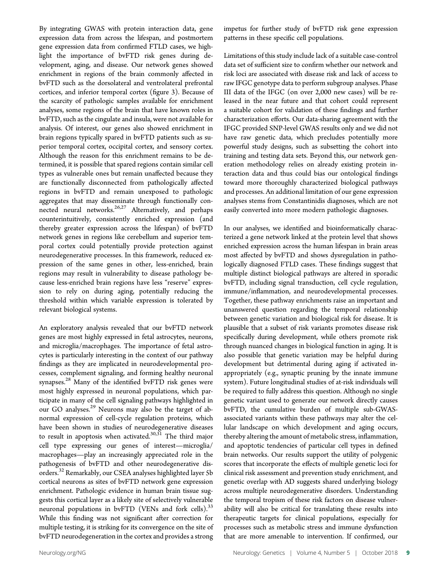By integrating GWAS with protein interaction data, gene expression data from across the lifespan, and postmortem gene expression data from confirmed FTLD cases, we highlight the importance of bvFTD risk genes during development, aging, and disease. Our network genes showed enrichment in regions of the brain commonly affected in bvFTD such as the dorsolateral and ventrolateral prefrontal cortices, and inferior temporal cortex (figure 3). Because of the scarcity of pathologic samples available for enrichment analyses, some regions of the brain that have known roles in bvFTD, such as the cingulate and insula, were not available for analysis. Of interest, our genes also showed enrichment in brain regions typically spared in bvFTD patients such as superior temporal cortex, occipital cortex, and sensory cortex. Although the reason for this enrichment remains to be determined, it is possible that spared regions contain similar cell types as vulnerable ones but remain unaffected because they are functionally disconnected from pathologically affected regions in bvFTD and remain unexposed to pathologic aggregates that may disseminate through functionally connected neural networks.<sup>26,27</sup> Alternatively, and perhaps counterintuitively, consistently enriched expression (and thereby greater expression across the lifespan) of bvFTD network genes in regions like cerebellum and superior temporal cortex could potentially provide protection against neurodegenerative processes. In this framework, reduced expression of the same genes in other, less-enriched, brain regions may result in vulnerability to disease pathology because less-enriched brain regions have less "reserve" expression to rely on during aging, potentially reducing the threshold within which variable expression is tolerated by relevant biological systems.

An exploratory analysis revealed that our bvFTD network genes are most highly expressed in fetal astrocytes, neurons, and microglia/macrophages. The importance of fetal astrocytes is particularly interesting in the context of our pathway findings as they are implicated in neurodevelopmental processes, complement signaling, and forming healthy neuronal synapses.<sup>28</sup> Many of the identified bvFTD risk genes were most highly expressed in neuronal populations, which participate in many of the cell signaling pathways highlighted in our GO analyses.<sup>29</sup> Neurons may also be the target of abnormal expression of cell-cycle regulation proteins, which have been shown in studies of neurodegenerative diseases to result in apoptosis when activated.<sup>30,31</sup> The third major cell type expressing our genes of interest—microglia/ macrophages—play an increasingly appreciated role in the pathogenesis of bvFTD and other neurodegenerative disorders.<sup>32</sup> Remarkably, our CSEA analyses highlighted layer 5b cortical neurons as sites of bvFTD network gene expression enrichment. Pathologic evidence in human brain tissue suggests this cortical layer as a likely site of selectively vulnerable neuronal populations in bvFTD (VENs and fork cells). $33$ While this finding was not significant after correction for multiple testing, it is striking for its convergence on the site of bvFTD neurodegeneration in the cortex and provides a strong impetus for further study of bvFTD risk gene expression patterns in these specific cell populations.

Limitations of this study include lack of a suitable case-control data set of sufficient size to confirm whether our network and risk loci are associated with disease risk and lack of access to raw IFGC genotype data to perform subgroup analyses. Phase III data of the IFGC (on over 2,000 new cases) will be released in the near future and that cohort could represent a suitable cohort for validation of these findings and further characterization efforts. Our data-sharing agreement with the IFGC provided SNP-level GWAS results only and we did not have raw genetic data, which precludes potentially more powerful study designs, such as subsetting the cohort into training and testing data sets. Beyond this, our network generation methodology relies on already existing protein interaction data and thus could bias our ontological findings toward more thoroughly characterized biological pathways and processes. An additional limitation of our gene expression analyses stems from Constantinidis diagnoses, which are not easily converted into more modern pathologic diagnoses.

In our analyses, we identified and bioinformatically characterized a gene network linked at the protein level that shows enriched expression across the human lifespan in brain areas most affected by bvFTD and shows dysregulation in pathologically diagnosed FTLD cases. These findings suggest that multiple distinct biological pathways are altered in sporadic bvFTD, including signal transduction, cell cycle regulation, immune/inflammation, and neurodevelopmental processes. Together, these pathway enrichments raise an important and unanswered question regarding the temporal relationship between genetic variation and biological risk for disease. It is plausible that a subset of risk variants promotes disease risk specifically during development, while others promote risk through nuanced changes in biological function in aging. It is also possible that genetic variation may be helpful during development but detrimental during aging if activated inappropriately (e.g., synaptic pruning by the innate immune system). Future longitudinal studies of at-risk individuals will be required to fully address this question. Although no single genetic variant used to generate our network directly causes bvFTD, the cumulative burden of multiple sub-GWASassociated variants within these pathways may alter the cellular landscape on which development and aging occurs, thereby altering the amount of metabolic stress, inflammation, and apoptotic tendencies of particular cell types in defined brain networks. Our results support the utility of polygenic scores that incorporate the effects of multiple genetic loci for clinical risk assessment and prevention study enrichment, and genetic overlap with AD suggests shared underlying biology across multiple neurodegenerative disorders. Understanding the temporal tropism of these risk factors on disease vulnerability will also be critical for translating these results into therapeutic targets for clinical populations, especially for processes such as metabolic stress and immune dysfunction that are more amenable to intervention. If confirmed, our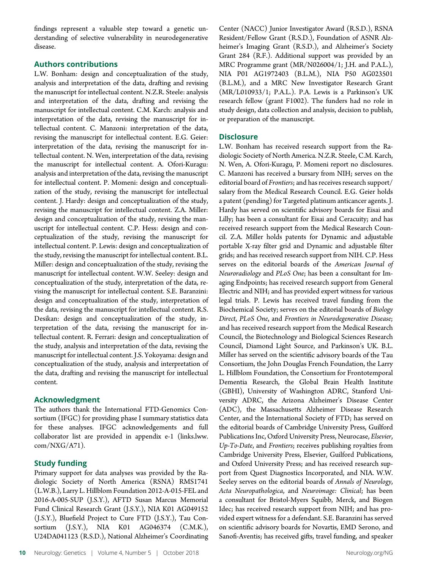findings represent a valuable step toward a genetic understanding of selective vulnerability in neurodegenerative disease.

### Authors contributions

L.W. Bonham: design and conceptualization of the study, analysis and interpretation of the data, drafting and revising the manuscript for intellectual content. N.Z.R. Steele: analysis and interpretation of the data, drafting and revising the manuscript for intellectual content. C.M. Karch: analysis and interpretation of the data, revising the manuscript for intellectual content. C. Manzoni: interpretation of the data, revising the manuscript for intellectual content. E.G. Geier: interpretation of the data, revising the manuscript for intellectual content. N. Wen, interpretation of the data, revising the manuscript for intellectual content. A. Ofori-Kuragu: analysis and interpretation of the data, revising the manuscript for intellectual content. P. Momeni: design and conceptualization of the study, revising the manuscript for intellectual content. J. Hardy: design and conceptualization of the study, revising the manuscript for intellectual content. Z.A. Miller: design and conceptualization of the study, revising the manuscript for intellectual content. C.P. Hess: design and conceptualization of the study, revising the manuscript for intellectual content. P. Lewis: design and conceptualization of the study, revising the manuscript for intellectual content. B.L. Miller: design and conceptualization of the study, revising the manuscript for intellectual content. W.W. Seeley: design and conceptualization of the study, interpretation of the data, revising the manuscript for intellectual content. S.E. Baranzini: design and conceptualization of the study, interpretation of the data, revising the manuscript for intellectual content. R.S. Desikan: design and conceptualization of the study, interpretation of the data, revising the manuscript for intellectual content. R. Ferrari: design and conceptualization of the study, analysis and interpretation of the data, revising the manuscript for intellectual content. J.S. Yokoyama: design and conceptualization of the study, analysis and interpretation of the data, drafting and revising the manuscript for intellectual content.

### Acknowledgment

The authors thank the International FTD-Genomics Consortium (IFGC) for providing phase I summary statistics data for these analyses. IFGC acknowledgements and full collaborator list are provided in appendix e-1 [\(links.lww.](http://links.lww.com/NXG/A71) [com/NXG/A71\)](http://links.lww.com/NXG/A71).

### Study funding

Primary support for data analyses was provided by the Radiologic Society of North America (RSNA) RMS1741 (L.W.B.), Larry L. Hillblom Foundation 2012-A-015-FEL and 2016-A-005-SUP (J.S.Y.), AFTD Susan Marcus Memorial Fund Clinical Research Grant (J.S.Y.), NIA K01 AG049152 (J.S.Y.), Bluefield Project to Cure FTD (J.S.Y.), Tau Consortium (J.S.Y.), NIA K01 AG046374 (C.M.K.), U24DA041123 (R.S.D.), National Alzheimer's Coordinating

Center (NACC) Junior Investigator Award (R.S.D.), RSNA Resident/Fellow Grant (R.S.D.), Foundation of ASNR Alzheimer's Imaging Grant (R.S.D.), and Alzheimer's Society Grant 284 (R.F.). Additional support was provided by an MRC Programme grant (MR/N026004/1; J.H. and P.A.L.), NIA P01 AG1972403 (B.L.M.), NIA P50 AG023501 (B.L.M.), and a MRC New Investigator Research Grant (MR/L010933/1; P.A.L.). P.A. Lewis is a Parkinson's UK research fellow (grant F1002). The funders had no role in study design, data collection and analysis, decision to publish, or preparation of the manuscript.

### **Disclosure**

L.W. Bonham has received research support from the Radiologic Society of North America. N.Z.R. Steele, C.M. Karch, N. Wen, A. Ofori-Kuragu, P. Momeni report no disclosures. C. Manzoni has received a bursary from NIH; serves on the editorial board of Frontiers; and has receives research support/ salary from the Medical Research Council. E.G. Geier holds a patent (pending) for Targeted platinum anticancer agents. J. Hardy has served on scientific advisory boards for Eisai and Lilly; has been a consultant for Eisai and Ceracuity; and has received research support from the Medical Research Council. Z.A. Miller holds patents for Dynamic and adjustable portable X-ray filter grid and Dynamic and adjustable filter grids; and has received research support from NIH. C.P. Hess serves on the editorial boards of the American Journal of Neuroradiology and PLoS One; has been a consultant for Imaging Endpoints; has received research support from General Electric and NIH; and has provided expert witness for various legal trials. P. Lewis has received travel funding from the Biochemical Society; serves on the editorial boards of Biology Direct, PLoS One, and Frontiers in Neurodegenerative Disease; and has received research support from the Medical Research Council, the Biotechnology and Biological Sciences Research Council, Diamond Light Source, and Parkinson's UK. B.L. Miller has served on the scientific advisory boards of the Tau Consortium, the John Douglas French Foundation, the Larry L. Hillblom Foundation, the Consortium for Frontotemporal Dementia Research, the Global Brain Health Institute (GBHI), University of Washington ADRC, Stanford University ADRC, the Arizona Alzheimer's Disease Center (ADC), the Massachusetts Alzheimer Disease Research Center, and the International Society of FTD; has served on the editorial boards of Cambridge University Press, Guilford Publications Inc, Oxford University Press, Neurocase, Elsevier, Up-To-Date, and Frontiers; receives publishing royalties from Cambridge University Press, Elsevier, Guilford Publications, and Oxford University Press; and has received research support from Quest Diagnostics Incorporated, and NIA. W.W. Seeley serves on the editorial boards of Annals of Neurology, Acta Neuropathologica, and Neuroimage: Clinical; has been a consultant for Bristol-Myers Squibb, Merck, and Biogen Idec; has received research support from NIH; and has provided expert witness for a defendant. S.E. Baranzini has served on scientific advisory boards for Novartis, EMD Serono, and Sanofi-Aventis; has received gifts, travel funding, and speaker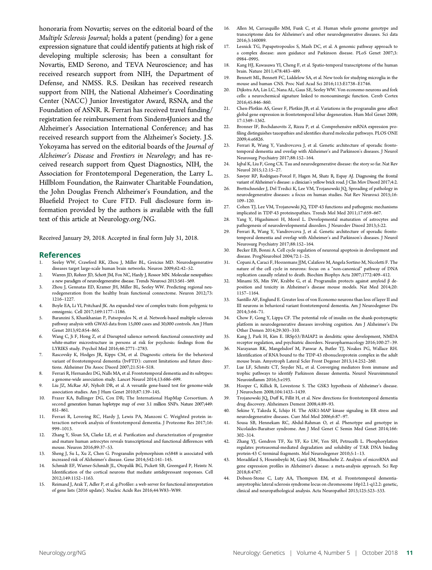honoraria from Novartis; serves on the editorial board of the Multiple Sclerosis Journal; holds a patent (pending) for a gene expression signature that could identify patients at high risk of developing multiple sclerosis; has been a consultant for Novartis, EMD Serono, and TEVA Neuroscience; and has received research support from NIH, the Department of Defense, and NMSS. R.S. Desikan has received research support from NIH, the National Alzheimer's Coordinating Center (NACC) Junior Investigator Award, RSNA, and the Foundation of ASNR. R. Ferrari has received travel funding/ registration fee reimbursement from Sindem4Juniors and the Alzheimer's Association International Conference; and has received research support from the Alzheimer's Society. J.S. Yokoyama has served on the editorial boards of the Journal of Alzheimer's Disease and Frontiers in Neurology; and has received research support from Quest Diagnostics, NIH, the Association for Frontotemporal Degeneration, the Larry L. Hillblom Foundation, the Rainwater Charitable Foundation, the John Douglas French Alzheimer's Foundation, and the Bluefield Project to Cure FTD. Full disclosure form information provided by the authors is available with the full text of this article at [Neurology.org/NG](http://ng.neurology.org/lookup/doi/10.1212/NXG.0000000000000266).

Received January 29, 2018. Accepted in final form July 31, 2018.

#### References

- 1. Seeley WW, Crawford RK, Zhou J, Miller BL, Greicius MD. Neurodegenerative diseases target large-scale human brain networks. Neuron 2009;62:42–52.
- 2. Warren JD, Rohrer JD, Schott JM, Fox NC, Hardy J, Rossor MN. Molecular nexopathies: a new paradigm of neurodegenerative disease. Trends Neurosci 2013:561–569.
- 3. Zhou J, Gennatas ED, Kramer JH, Miller BL, Seeley WW. Predicting regional neurodegeneration from the healthy brain functional connectome. Neuron 2012;73: 1216–1227.
- 4. Boyle EA, Li YI, Pritchard JK. An expanded view of complex traits: from polygenic to omnigenic. Cell 2017;169:1177–1186.
- 5. Baranzini S, Khankhanian P, Patsopoulos N, et al. Network-based multiple sclerosis pathway analysis with GWAS data from 15,000 cases and 30,000 controls. Am J Hum Genet 2013;92:854–865.
- 6. Wang C, Ji F, Hong Z, et al Disrupted salience network functional connectivity and white-matter microstructure in persons at risk for psychosis: findings from the LYRIKS study. Psychol Med 2016;46:2771–2783.
- Rascovsky K, Hodges JR, Kipps CM, et al. Diagnostic criteria for the behavioral variant of frontotemporal dementia (bvFTD): current limitations and future directions. Alzheimer Dis Assoc Disord 2007;21:S14–S18.
- 8. Ferrari R, Hernandez DG, Nalls MA, et al. Frontotemporal dementia and its subtypes: a genome-wide association study. Lancet Neurol 2014;13:686–699.
- Liu JZ, McRae AF, Nyholt DR, et al. A versatile gene-based test for genome-wide association studies. Am J Hum Genet 2010;87:139–145.
- 10. Frazer KA, Ballinger DG, Cox DR; The International HapMap Corsortium. A second generation human haplotype map of over 3.1 million SNPs. Nature 2007;449: 851–861.
- 11. Ferrari R, Lovering RC, Hardy J, Lewis PA, Manzoni C. Weighted protein interaction network analysis of frontotemporal dementia. J Proteome Res 2017;16: 999–1013.
- 12. Zhang Y, Sloan SA, Clarke LE, et al. Purification and characterization of progenitor and mature human astrocytes reveals transcriptional and functional differences with mouse. Neuron 2016;89:37–53.
- 13. Sheng J, Su L, Xu Z, Chen G. Progranulin polymorphism rs5848 is associated with increased risk of Alzheimer's disease. Gene 2014;542:141–145.
- 14. Schmidt EF, Warner-Schmidt JL, Otopalik BG, Pickett SB, Greengard P, Heintz N. Identification of the cortical neurons that mediate antidepressant responses. Cell 2012;149:1152–1163.
- Reimand J, Arak T, Adler P, et al. g:Profiler: a web server for functional interpretation of gene lists (2016 update). Nucleic Acids Res 2016;44:W83–W89.
- 16. Allen M, Carrasquillo MM, Funk C, et al. Human whole genome genotype and transcriptome data for Alzheimer's and other neurodegenerative diseases. Sci data 2016;3:160089.
- 17. Lesnick TG, Papapetropoulos S, Mash DC, et al. A genomic pathway approach to a complex disease: axon guidance and Parkinson disease. PLoS Genet 2007;3: 0984–0995.
- 18. Kang HJ, Kawasawa YI, Cheng F, et al. Spatio-temporal transcriptome of the human brain. Nature 2011;478:483–489.
- 19. Bennett ML, Bennett FC, Liddelow SA, et al. New tools for studying microglia in the mouse and human CNS. Proc Natl Acad Sci 2016;113:E1738–E1746.
- 20. Dijkstra AA, Lin LC, Nana AL, Gaus SE, Seeley WW. Von economo neurons and fork cells: a neurochemical signature linked to monoaminergic function. Cereb Cortex 2016;45:846–860.
- 21. Chen-Plotkin AS, Geser F, Plotkin JB, et al. Variations in the progranulin gene affect global gene expression in frontotemporal lobar degeneration. Hum Mol Genet 2008; 17:1349–1362.
- 22. Bronner IF, Bochdanovits Z, Rizzu P, et al. Comprehensive mRNA expression profiling distinguishes tauopathies and identifies shared molecular pathways. PLOS ONE 2009;4:e6826.
- 23. Ferrari R, Wang Y, Vandrovcova J, et al. Genetic architecture of sporadic frontotemporal dementia and overlap with Alzheimer's and Parkinson's diseases. J Neurol Neurosurg Psychiatry 2017;88:152–164.
- 24. Iqbal K, Liu F, Gong CX. Tau and neurodegenerative disease: the story so far. Nat Rev Neurol 2015;12:15–27.
- 25. Sawyer RP, Rodriguez-Porcel F, Hagen M, Shatz R, Espay AJ. Diagnosing the frontal variant of Alzheimer's disease: a clinician's yellow brick road. J Clin Mov Disord 2017;4:2.
- 26. Brettschneider J, Del Tredici K, Lee VM, Trojanowski JQ. Spreading of pathology in neurodegenerative diseases: a focus on human studies. Nat Rev Neurosci 2015;16: 109–120.
- 27. Cohen TJ, Lee VM, Trojanowski JQ. TDP-43 functions and pathogenic mechanisms implicated in TDP-43 proteinopathies. Trends Mol Med 2011;17:659–667.
- 28. Yang Y, Higashimori H, Morel L. Developmental maturation of astrocytes and pathogenesis of neurodevelopmental disorders. J Neurodev Disord 2013;5:22.
- 29. Ferrari R, Wang Y, Vandrovcova J, et al. Genetic architecture of sporadic frontotemporal dementia and overlap with Alzheimer's and Parkinson's diseases. J Neurol Neurosurg Psychiatry 2017;88:152–164.
- 30. Becker EB, Bonni A. Cell cycle regulation of neuronal apoptosis in development and disease. ProgNeurobiol 2004;72:1–25.
- 31. Copani A, Caraci F, Hoozemans JJM, Calafiore M, Angela Sortino M, Nicoletti F. The nature of the cell cycle in neurons: focus on a "non-canonical" pathway of DNA replication causally related to death. Biochim Biophys Acta 2007;1772:409–412.
- 32. Minami SS, Min SW, Krabbe G, et al. Progranulin protects against amyloid β deposition and toxicity in Alzheimer's disease mouse models. Nat Med 2014;20: 1157–1164.
- 33. Santillo AF, Englund E. Greater loss of von Economo neurons than loss of layer II and III neurons in behavioral variant frontotemporal dementia. Am J Neurodegener Dis 2014;3:64–71.
- 34. Chow F, Gong Y, Lippa CF. The potential role of insulin on the shank-postsynaptic platform in neurodegenerative diseases involving cognition. Am J Alzheimer's Dis Other Demen 2014;29:303–310.
- 35. Kang J, Park H, Kim E. IRSp53/BAIAP2 in dendritic spine development, NMDA receptor regulation, and psychiatric disorders. Neuropharmacology 2016;100:27–39.
- 36. Narayanan RK, Mangelsdorf M, Panwar A, Butler TJ, Noakes PG, Wallace RH. Identification of RNA bound to the TDP-43 ribonucleoprotein complex in the adult mouse brain. Amyotroph Lateral Scler Front Degener 2013;14:252–260.
- 37. Lue LF, Schmitz CT, Snyder NL, et al. Converging mediators from immune and trophic pathways to identify Parkinson disease dementia. Neurol Neuroimmunol Neuroinflamm 2016;3:e193.
- 38. Hooper C, Killick R, Lovestone S. The GSK3 hypothesis of Alzheimer's disease. J Neurochem 2008;104:1433–1439.
- 39. Trojanowski JQ, Duff K, Fillit H, et al. New directions for frontotemporal dementia drug discovery. Alzheimers Dement 2008;4:89–93.
- 40. Sekine Y, Takeda K, Ichijo H. The ASK1-MAP kinase signaling in ER stress and neurodegenerative diseases. Curr Mol Med 2006;6:87–97.
- 41. Sousa SB, Hennekam RC, Abdul-Rahman O, et al. Phenotype and genotype in Nicolaides-Baraitser syndrome. Am J Med Genet C Semin Med Genet 2014;166: 302–314.
- 42. Zhang YJ, Gendron TF, Xu YF, Ko LW, Yen SH, Petrucelli L. Phosphorylation regulates proteasomal-mediated degradation and solubility of TAR DNA binding protein-43 C-terminal fragments. Mol Neurodegener 2010;5:1–13.
- 43. Moradifard S, Hoseinbeyki M, Ganji SM, Minuchehr Z. Analysis of microRNA and gene expression profiles in Alzheimer's disease: a meta-analysis approach. Sci Rep 2018;8:4767.
- 44. Dobson-Stone C, Luty AA, Thompson EM, et al. Frontotemporal dementiaamyotrophic lateral sclerosis syndrome locus on chromosome 16p12.1-q12.2: genetic, clinical and neuropathological analysis. Acta Neuropathol 2013;125:523–533.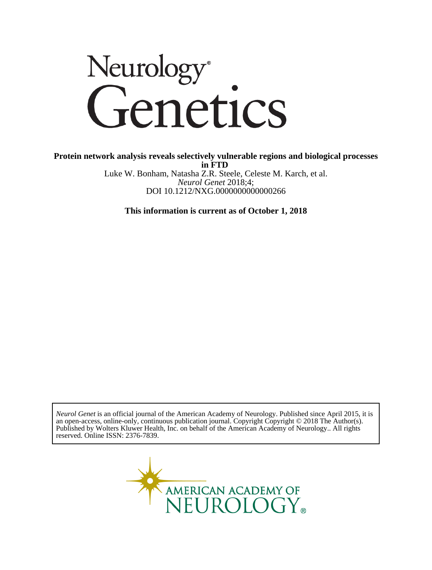

DOI 10.1212/NXG.0000000000000266 *Neurol Genet* 2018;4; Luke W. Bonham, Natasha Z.R. Steele, Celeste M. Karch, et al. **in FTD Protein network analysis reveals selectively vulnerable regions and biological processes**

**This information is current as of October 1, 2018**

reserved. Online ISSN: 2376-7839. Published by Wolters Kluwer Health, Inc. on behalf of the American Academy of Neurology.. All rights an open-access, online-only, continuous publication journal. Copyright Copyright © 2018 The Author(s). *Neurol Genet* is an official journal of the American Academy of Neurology. Published since April 2015, it is